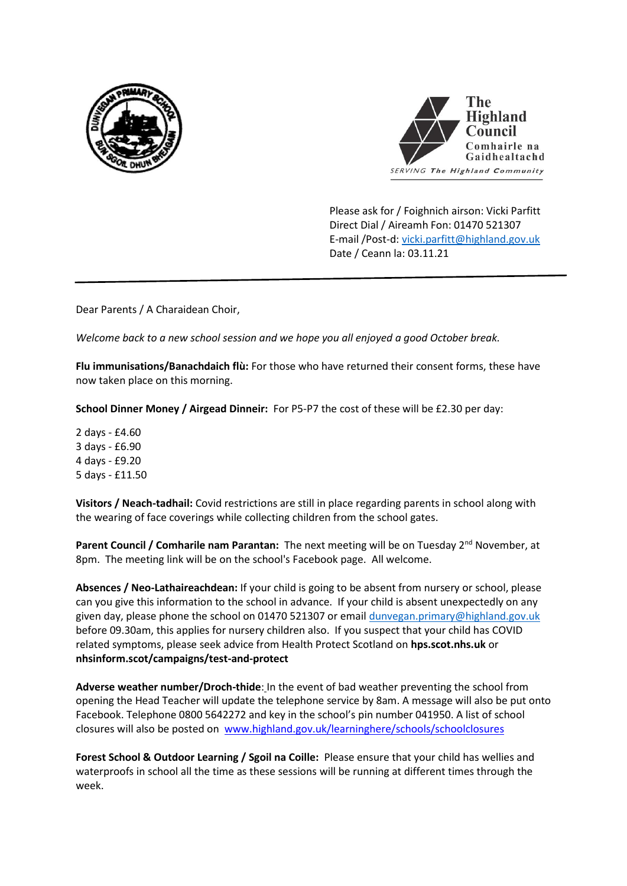



 Please ask for / Foighnich airson: Vicki Parfitt Direct Dial / Aireamh Fon: 01470 521307 E-mail /Post-d[: vicki.parfitt@highland.gov.uk](mailto:vicki.parfitt@highland.gov.uk) Date / Ceann la: 03.11.21

Dear Parents / A Charaidean Choir,

*Welcome back to a new school session and we hope you all enjoyed a good October break.* 

**Flu immunisations/Banachdaich flù:** For those who have returned their consent forms, these have now taken place on this morning.

**School Dinner Money / Airgead Dinneir:** For P5-P7 the cost of these will be £2.30 per day:

2 days - £4.60 3 days - £6.90 4 days - £9.20 5 days - £11.50

**Visitors / Neach-tadhail:** Covid restrictions are still in place regarding parents in school along with the wearing of face coverings while collecting children from the school gates.

**Parent Council / Comharile nam Parantan:** The next meeting will be on Tuesday 2<sup>nd</sup> November, at 8pm. The meeting link will be on the school's Facebook page. All welcome.

**Absences / Neo-Lathaireachdean:** If your child is going to be absent from nursery or school, please can you give this information to the school in advance. If your child is absent unexpectedly on any given day, please phone the school on 01470 521307 or email [dunvegan.primary@highland.gov.uk](mailto:dunvegan.primary@highland.gov.uk) before 09.30am, this applies for nursery children also. If you suspect that your child has COVID related symptoms, please seek advice from Health Protect Scotland on **hps.scot.nhs.uk** or **nhsinform.scot/campaigns/test-and-protect**

**Adverse weather number/Droch-thide**: In the event of bad weather preventing the school from opening the Head Teacher will update the telephone service by 8am. A message will also be put onto Facebook. Telephone 0800 5642272 and key in the school's pin number 041950. A list of school closures will also be posted on www.highland.gov.uk/learninghere/schools/schoolclosures

**Forest School & Outdoor Learning / Sgoil na Coille:** Please ensure that your child has wellies and waterproofs in school all the time as these sessions will be running at different times through the week.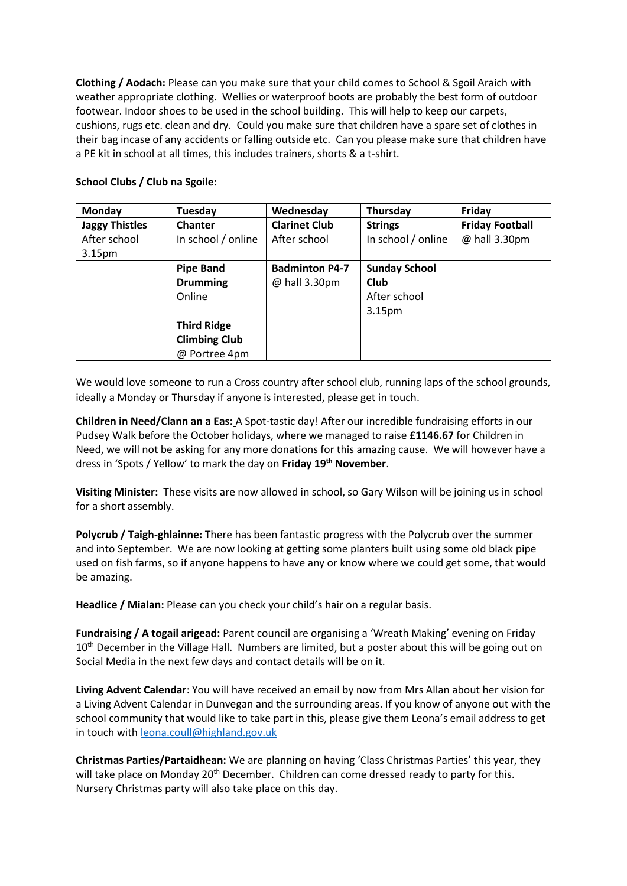**Clothing / Aodach:** Please can you make sure that your child comes to School & Sgoil Araich with weather appropriate clothing. Wellies or waterproof boots are probably the best form of outdoor footwear. Indoor shoes to be used in the school building. This will help to keep our carpets, cushions, rugs etc. clean and dry. Could you make sure that children have a spare set of clothes in their bag incase of any accidents or falling outside etc. Can you please make sure that children have a PE kit in school at all times, this includes trainers, shorts & a t-shirt.

## **School Clubs / Club na Sgoile:**

| Monday                | Tuesday              | Wednesday             | Thursday             | Friday                 |
|-----------------------|----------------------|-----------------------|----------------------|------------------------|
| <b>Jaggy Thistles</b> | Chanter              | <b>Clarinet Club</b>  | <b>Strings</b>       | <b>Friday Football</b> |
| After school          | In school / online   | After school          | In school / online   | @ hall 3.30pm          |
| 3.15 <sub>pm</sub>    |                      |                       |                      |                        |
|                       | <b>Pipe Band</b>     | <b>Badminton P4-7</b> | <b>Sunday School</b> |                        |
|                       | <b>Drumming</b>      | @ hall 3.30pm         | Club                 |                        |
|                       | Online               |                       | After school         |                        |
|                       |                      |                       | 3.15 <sub>pm</sub>   |                        |
|                       | <b>Third Ridge</b>   |                       |                      |                        |
|                       | <b>Climbing Club</b> |                       |                      |                        |
|                       | @ Portree 4pm        |                       |                      |                        |

We would love someone to run a Cross country after school club, running laps of the school grounds, ideally a Monday or Thursday if anyone is interested, please get in touch.

**Children in Need/Clann an a Eas:** A Spot-tastic day! After our incredible fundraising efforts in our Pudsey Walk before the October holidays, where we managed to raise **£1146.67** for Children in Need, we will not be asking for any more donations for this amazing cause. We will however have a dress in 'Spots / Yellow' to mark the day on **Friday 19th November**.

**Visiting Minister:** These visits are now allowed in school, so Gary Wilson will be joining us in school for a short assembly.

**Polycrub / Taigh-ghlainne:** There has been fantastic progress with the Polycrub over the summer and into September. We are now looking at getting some planters built using some old black pipe used on fish farms, so if anyone happens to have any or know where we could get some, that would be amazing.

**Headlice / Mialan:** Please can you check your child's hair on a regular basis.

**Fundraising / A togail arigead:** Parent council are organising a 'Wreath Making' evening on Friday 10<sup>th</sup> December in the Village Hall. Numbers are limited, but a poster about this will be going out on Social Media in the next few days and contact details will be on it.

**Living Advent Calendar**: You will have received an email by now from Mrs Allan about her vision for a Living Advent Calendar in Dunvegan and the surrounding areas. If you know of anyone out with the school community that would like to take part in this, please give them Leona's email address to get in touch with [leona.coull@highland.gov.uk](mailto:leona.coull@highland.gov.uk)

**Christmas Parties/Partaidhean:** We are planning on having 'Class Christmas Parties' this year, they will take place on Monday 20<sup>th</sup> December. Children can come dressed ready to party for this. Nursery Christmas party will also take place on this day.